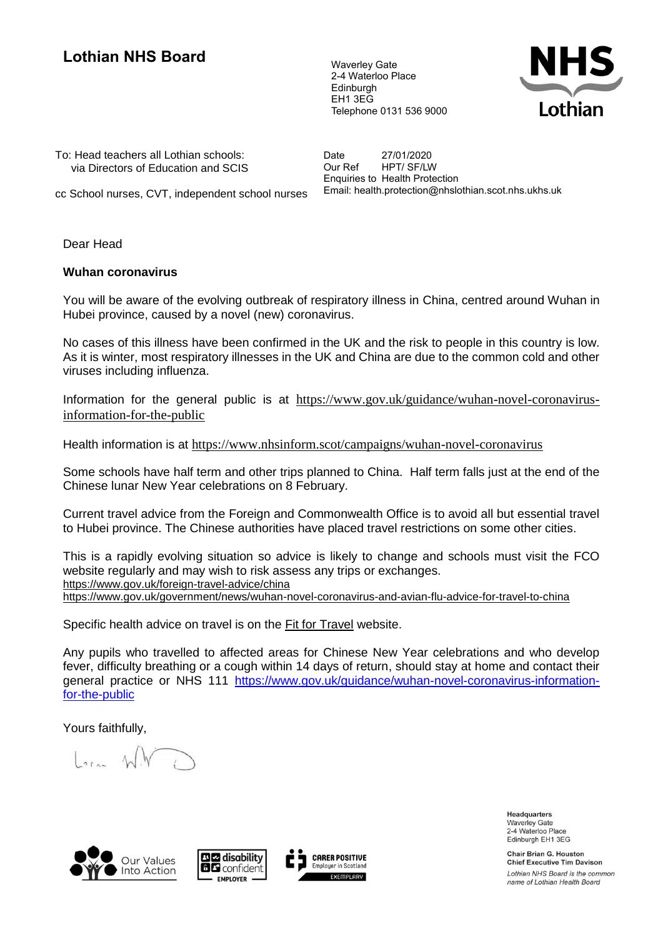## **Lothian NHS Board** Waverley Gate

2-4 Waterloo Place Edinburgh EH1 3EG Telephone 0131 536 9000



To: Head teachers all Lothian schools: via Directors of Education and SCIS Date 27/01/2020<br>Our Ref HPT/ SF/LW HPT/ SF/LW Enquiries to Health Protection Email: health.protection@nhslothian.scot.nhs.ukhs.uk

cc School nurses, CVT, independent school nurses

Dear Head

## **Wuhan coronavirus**

You will be aware of the evolving outbreak of respiratory illness in China, centred around Wuhan in Hubei province, caused by a novel (new) coronavirus.

No cases of this illness have been confirmed in the UK and the risk to people in this country is low. As it is winter, most respiratory illnesses in the UK and China are due to the common cold and other viruses including influenza.

Information for the general public is at [https://www.gov.uk/guidance/wuhan-novel-coronavirus](https://www.gov.uk/guidance/wuhan-novel-coronavirus-information-for-the-public)[information-for-the-public](https://www.gov.uk/guidance/wuhan-novel-coronavirus-information-for-the-public)

Health information is at <https://www.nhsinform.scot/campaigns/wuhan-novel-coronavirus>

Some schools have half term and other trips planned to China. Half term falls just at the end of the Chinese lunar New Year celebrations on 8 February.

Current travel advice from the Foreign and Commonwealth Office is to avoid all but essential travel to Hubei province. The Chinese authorities have placed travel restrictions on some other cities.

This is a rapidly evolving situation so advice is likely to change and schools must visit the FCO website regularly and may wish to risk assess any trips or exchanges. <https://www.gov.uk/foreign-travel-advice/china> <https://www.gov.uk/government/news/wuhan-novel-coronavirus-and-avian-flu-advice-for-travel-to-china>

Specific health advice on travel is on the [Fit](http://intheloop.newsweaver.com/announcementtest1/13ew8ivwvjg1ql4two34np/external?email=true&a=6&p=654014&t=38918) [for Travel](http://intheloop.newsweaver.com/announcementtest1/13ew8ivwvjg1ql4two34np/external?email=true&a=6&p=654014&t=38918) website.

Any pupils who travelled to affected areas for Chinese New Year celebrations and who develop fever, difficulty breathing or a cough within 14 days of return, should stay at home and contact their general practice or NHS 111 [https://www.gov.uk/guidance/wuhan-novel-coronavirus-information](https://www.gov.uk/guidance/wuhan-novel-coronavirus-information-for-the-public)[for-the-public](https://www.gov.uk/guidance/wuhan-novel-coronavirus-information-for-the-public)

Yours faithfully,

 $\ln 1$ 







Headquarters **Waverley Gate** 2-4 Waterloo Place Edinburgh EH1 3EG

**Chair Brian G. Houston Chief Executive Tim Davison** Lothian NHS Board is the common name of Lothian Health Board